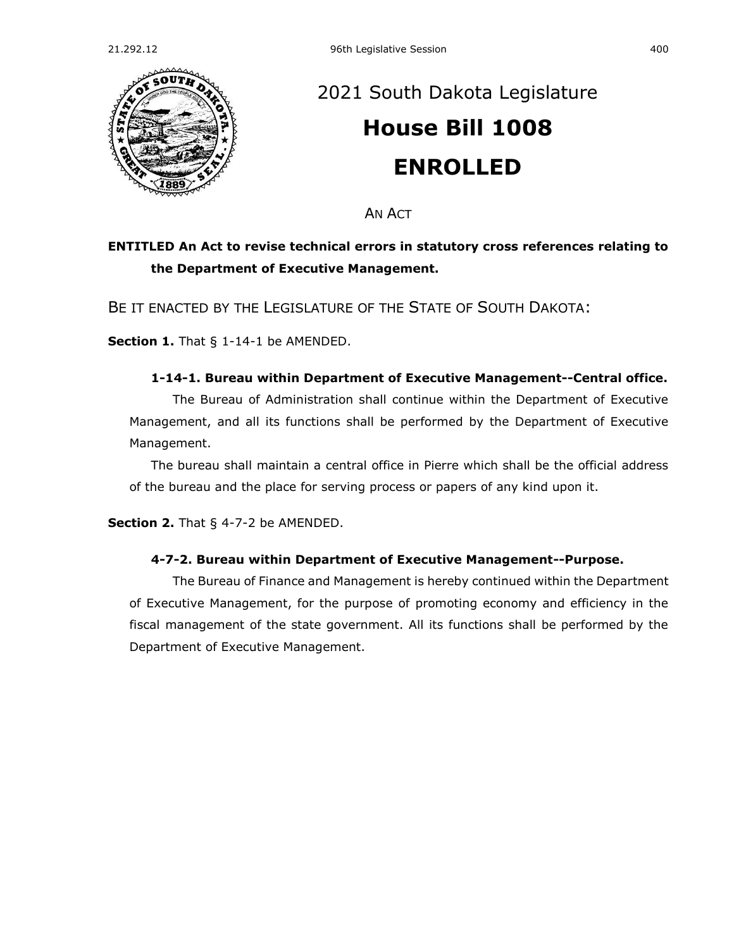

## [2021 South Dakota Legislature](https://sdlegislature.gov/Session/Bills/44) **[House Bill 1008](https://sdlegislature.gov/Session/Bill/22012) ENROLLED**

AN ACT

## **ENTITLED An Act to revise technical errors in statutory cross references relating to the Department of Executive Management.**

BE IT ENACTED BY THE LEGISLATURE OF THE STATE OF SOUTH DAKOTA:

**Section 1.** [That § 1-14-1 be AMENDED.](https://sdlegislature.gov/Statutes/Codified_Laws/DisplayStatute.aspx?Type=Statute&Statute=1-14-1)

## **[1-14-1. B](https://sdlegislature.gov/Statutes/Codified_Laws/DisplayStatute.aspx?Type=Statute&Statute=1-14-1)ureau within Department of Executive Management--Central office.**

The Bureau of Administration shall continue within the Department of Executive Management, and all its functions shall be performed by the Department of Executive Management.

The bureau shall maintain a central office in Pierre which shall be the official address of the bureau and the place for serving process or papers of any kind upon it.

**Section 2.** [That § 4-7-2 be AMENDED.](https://sdlegislature.gov/Statutes/Codified_Laws/DisplayStatute.aspx?Type=Statute&Statute=4-7-2)

## **[4-7-2. B](https://sdlegislature.gov/Statutes/Codified_Laws/DisplayStatute.aspx?Type=Statute&Statute=4-7-2)ureau within Department of Executive Management--Purpose.**

The Bureau of Finance and Management is hereby continued within the Department of Executive Management, for the purpose of promoting economy and efficiency in the fiscal management of the state government. All its functions shall be performed by the Department of Executive Management.